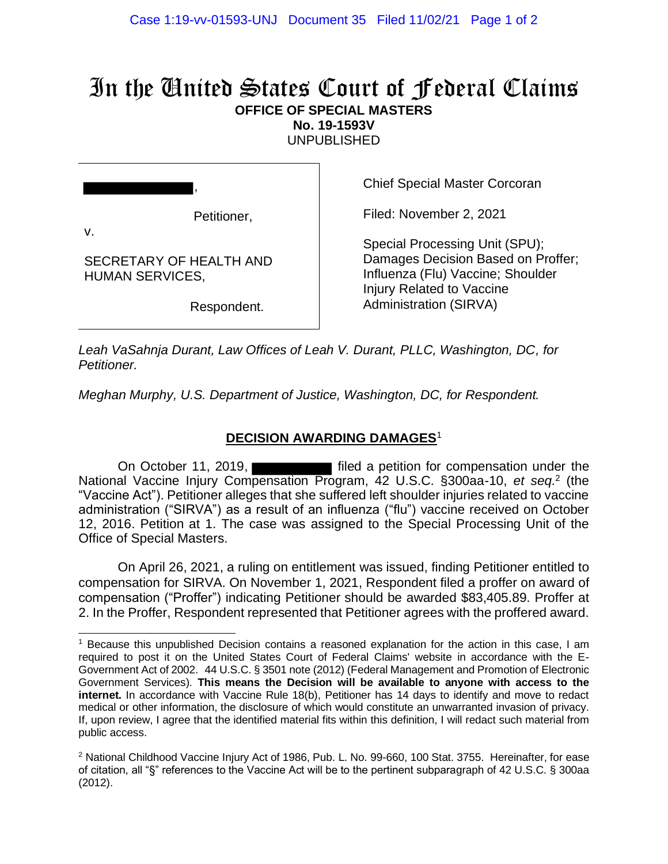## In the United States Court of Federal Claims **OFFICE OF SPECIAL MASTERS**

**No. 19-1593V**

UNPUBLISHED

Petitioner,

,

SECRETARY OF HEALTH AND

HUMAN SERVICES,

v.

Chief Special Master Corcoran

Filed: November 2, 2021

Special Processing Unit (SPU); Damages Decision Based on Proffer; Influenza (Flu) Vaccine; Shoulder Injury Related to Vaccine Administration (SIRVA)

Respondent.

*Leah VaSahnja Durant, Law Offices of Leah V. Durant, PLLC, Washington, DC, for Petitioner.*

*Meghan Murphy, U.S. Department of Justice, Washington, DC, for Respondent.*

## **DECISION AWARDING DAMAGES**<sup>1</sup>

On October 11, 2019, **Filled** a petition for compensation under the National Vaccine Injury Compensation Program, 42 U.S.C. §300aa-10, et seq.<sup>2</sup> (the "Vaccine Act"). Petitioner alleges that she suffered left shoulder injuries related to vaccine administration ("SIRVA") as a result of an influenza ("flu") vaccine received on October 12, 2016. Petition at 1. The case was assigned to the Special Processing Unit of the Office of Special Masters.

On April 26, 2021, a ruling on entitlement was issued, finding Petitioner entitled to compensation for SIRVA. On November 1, 2021, Respondent filed a proffer on award of compensation ("Proffer") indicating Petitioner should be awarded \$83,405.89. Proffer at 2. In the Proffer, Respondent represented that Petitioner agrees with the proffered award.

<sup>1</sup> Because this unpublished Decision contains a reasoned explanation for the action in this case, I am required to post it on the United States Court of Federal Claims' website in accordance with the E-Government Act of 2002. 44 U.S.C. § 3501 note (2012) (Federal Management and Promotion of Electronic Government Services). **This means the Decision will be available to anyone with access to the internet.** In accordance with Vaccine Rule 18(b), Petitioner has 14 days to identify and move to redact medical or other information, the disclosure of which would constitute an unwarranted invasion of privacy. If, upon review, I agree that the identified material fits within this definition, I will redact such material from public access.

<sup>&</sup>lt;sup>2</sup> National Childhood Vaccine Injury Act of 1986, Pub. L. No. 99-660, 100 Stat. 3755. Hereinafter, for ease of citation, all "§" references to the Vaccine Act will be to the pertinent subparagraph of 42 U.S.C. § 300aa (2012).